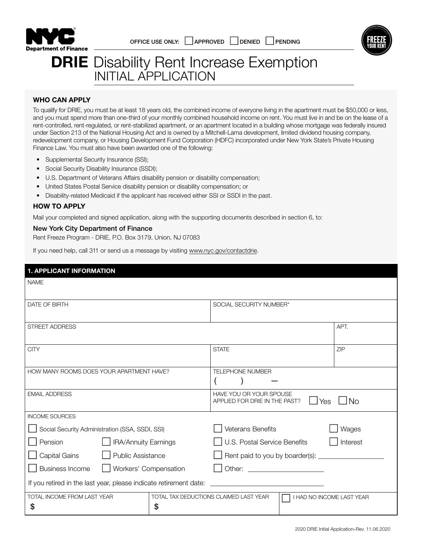



# **DRIE** Disability Rent Increase Exemption INITIAL APPLICATION

#### WHO CAN APPLY

To qualify for DRIE, you must be at least 18 years old, the combined income of everyone living in the apartment must be \$50,000 or less, and you must spend more than one-third of your monthly combined household income on rent. You must live in and be on the lease of a rent-controlled, rent-regulated, or rent-stabilized apartment, or an apartment located in a building whose mortgage was federally insured under Section 213 of the National Housing Act and is owned by a Mitchell-Lama development, limited dividend housing company, redevelopment company, or Housing Development Fund Corporation (HDFC) incorporated under New York State's Private Housing Finance Law. You must also have been awarded one of the following:

- Supplemental Security Insurance (SSI);
- Social Security Disability Insurance (SSDI);
- U.S. Department of Veterans Affairs disability pension or disability compensation;
- United States Postal Service disability pension or disability compensation; or
- Disability-related Medicaid if the applicant has received either SSI or SSDI in the past.

#### HOW TO APPLY

Mail your completed and signed application, along with the supporting documents described in section 6, to:

#### New York City Department of Finance

Rent Freeze Program - DRIE, P.O. Box 3179, Union, NJ 07083

If you need help, call 311 or send us a message by visiting www.nyc.gov/contactdrie.

| <b>1. APPLICANT INFORMATION</b>                                                   |  |                                                                              |                           |            |
|-----------------------------------------------------------------------------------|--|------------------------------------------------------------------------------|---------------------------|------------|
| <b>NAME</b>                                                                       |  |                                                                              |                           |            |
| DATE OF BIRTH                                                                     |  | SOCIAL SECURITY NUMBER*                                                      |                           |            |
| <b>STREET ADDRESS</b>                                                             |  |                                                                              |                           | APT.       |
| <b>CITY</b>                                                                       |  | <b>STATE</b>                                                                 |                           | <b>ZIP</b> |
| HOW MANY ROOMS DOES YOUR APARTMENT HAVE?                                          |  | <b>TELEPHONE NUMBER</b>                                                      |                           |            |
| <b>EMAIL ADDRESS</b>                                                              |  | HAVE YOU OR YOUR SPOUSE<br><b>No</b><br>APPLIED FOR DRIE IN THE PAST?<br>Yes |                           |            |
| <b>INCOME SOURCES</b>                                                             |  |                                                                              |                           |            |
| Social Security Administration (SSA, SSDI, SSI)                                   |  | <b>Veterans Benefits</b>                                                     |                           | Wages      |
| <b>IRA/Annuity Earnings</b><br>Pension                                            |  | U.S. Postal Service Benefits<br>Interest                                     |                           |            |
| Capital Gains<br><b>Public Assistance</b>                                         |  | Rent paid to you by boarder(s): ____                                         |                           |            |
| <b>Business Income</b><br>Workers' Compensation                                   |  | Other:                                                                       |                           |            |
| If you retired in the last year, please indicate retirement date:                 |  |                                                                              |                           |            |
| TOTAL INCOME FROM LAST YEAR<br>TOTAL TAX DEDUCTIONS CLAIMED LAST YEAR<br>\$<br>\$ |  |                                                                              | I HAD NO INCOME LAST YEAR |            |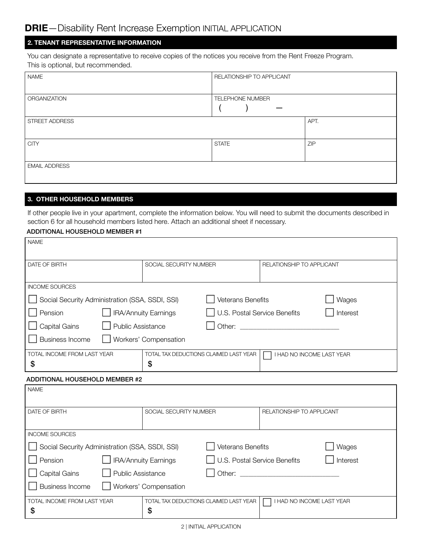# 2. TENANT REPRESENTATIVE INFORMATION

You can designate a representative to receive copies of the notices you receive from the Rent Freeze Program. This is optional, but recommended.

| <b>NAME</b>          | RELATIONSHIP TO APPLICANT |      |
|----------------------|---------------------------|------|
| ORGANIZATION         | <b>TELEPHONE NUMBER</b>   |      |
| STREET ADDRESS       |                           | APT. |
| <b>CITY</b>          | <b>STATE</b>              | ZIP  |
| <b>EMAIL ADDRESS</b> |                           |      |

### 3. OTHER HOUSEHOLD MEMBERS

If other people live in your apartment, complete the information below. You will need to submit the documents described in section 6 for all household members listed here. Attach an additional sheet if necessary.

#### ADDITIONAL HOUSEHOLD MEMBER #1

| <b>NAME</b>                                                                                                                                                                                                                                                                       |                                                             |                              |                                                                                                                                                                                                                                      |          |
|-----------------------------------------------------------------------------------------------------------------------------------------------------------------------------------------------------------------------------------------------------------------------------------|-------------------------------------------------------------|------------------------------|--------------------------------------------------------------------------------------------------------------------------------------------------------------------------------------------------------------------------------------|----------|
| DATE OF BIRTH                                                                                                                                                                                                                                                                     | SOCIAL SECURITY NUMBER                                      |                              | RELATIONSHIP TO APPLICANT                                                                                                                                                                                                            |          |
|                                                                                                                                                                                                                                                                                   |                                                             |                              |                                                                                                                                                                                                                                      |          |
| <b>INCOME SOURCES</b>                                                                                                                                                                                                                                                             |                                                             |                              |                                                                                                                                                                                                                                      |          |
| Social Security Administration (SSA, SSDI, SSI)                                                                                                                                                                                                                                   |                                                             | <b>Veterans Benefits</b>     |                                                                                                                                                                                                                                      | Wages    |
| Pension                                                                                                                                                                                                                                                                           | <b>IRA/Annuity Earnings</b>                                 | U.S. Postal Service Benefits |                                                                                                                                                                                                                                      | Interest |
| Capital Gains<br><b>Public Assistance</b>                                                                                                                                                                                                                                         |                                                             |                              | Other: <u>with the contract of the contract of the contract of the contract of the contract of the contract of the contract of the contract of the contract of the contract of the contract of the contract of the contract of t</u> |          |
| <b>Business Income</b><br>Workers' Compensation                                                                                                                                                                                                                                   |                                                             |                              |                                                                                                                                                                                                                                      |          |
| TOTAL INCOME FROM LAST YEAR                                                                                                                                                                                                                                                       | TOTAL TAX DEDUCTIONS CLAIMED LAST YEAR                      |                              | I HAD NO INCOME LAST YEAR                                                                                                                                                                                                            |          |
| \$                                                                                                                                                                                                                                                                                | \$                                                          |                              |                                                                                                                                                                                                                                      |          |
| <b>ADDITIONAL HOUSEHOLD MEMBER #2</b>                                                                                                                                                                                                                                             |                                                             |                              |                                                                                                                                                                                                                                      |          |
| <b>NAME</b>                                                                                                                                                                                                                                                                       |                                                             |                              |                                                                                                                                                                                                                                      |          |
|                                                                                                                                                                                                                                                                                   |                                                             |                              |                                                                                                                                                                                                                                      |          |
| <b>DATE OF BIRTH</b>                                                                                                                                                                                                                                                              | SOCIAL SECURITY NUMBER                                      |                              | <b>RELATIONSHIP TO APPLICANT</b>                                                                                                                                                                                                     |          |
| <b>INCOME SOURCES</b>                                                                                                                                                                                                                                                             |                                                             |                              |                                                                                                                                                                                                                                      |          |
|                                                                                                                                                                                                                                                                                   |                                                             |                              |                                                                                                                                                                                                                                      |          |
| <b>Veterans Benefits</b><br>Social Security Administration (SSA, SSDI, SSI)                                                                                                                                                                                                       |                                                             |                              | Wages                                                                                                                                                                                                                                |          |
| Pension                                                                                                                                                                                                                                                                           | <b>IRA/Annuity Earnings</b><br>U.S. Postal Service Benefits |                              |                                                                                                                                                                                                                                      | Interest |
| <b>Public Assistance</b><br>Other: <u>with the community of the community of the community of the community of the community of the community of the community of the community of the community of the community of the community of the community of the c</u><br>Capital Gains |                                                             |                              |                                                                                                                                                                                                                                      |          |
| <b>Business Income</b><br>Workers' Compensation                                                                                                                                                                                                                                   |                                                             |                              |                                                                                                                                                                                                                                      |          |
| TOTAL INCOME FROM LAST YEAR<br>\$                                                                                                                                                                                                                                                 | TOTAL TAX DEDUCTIONS CLAIMED LAST YEAR<br>S                 |                              | I HAD NO INCOME LAST YEAR                                                                                                                                                                                                            |          |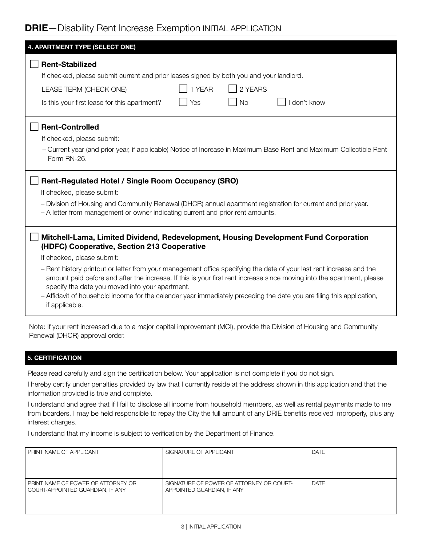# DRIE—Disability Rent Increase Exemption INITIAL APPLICATION

| 4. APARTMENT TYPE (SELECT ONE)                                                                                                                                                                                                                                                                    |  |  |  |  |
|---------------------------------------------------------------------------------------------------------------------------------------------------------------------------------------------------------------------------------------------------------------------------------------------------|--|--|--|--|
| <b>Rent-Stabilized</b>                                                                                                                                                                                                                                                                            |  |  |  |  |
| If checked, please submit current and prior leases signed by both you and your landlord.                                                                                                                                                                                                          |  |  |  |  |
| 1 YEAR<br>2 YEARS<br>LEASE TERM (CHECK ONE)                                                                                                                                                                                                                                                       |  |  |  |  |
| don't know<br><b>No</b><br>Is this your first lease for this apartment?<br>Yes                                                                                                                                                                                                                    |  |  |  |  |
|                                                                                                                                                                                                                                                                                                   |  |  |  |  |
| <b>Rent-Controlled</b>                                                                                                                                                                                                                                                                            |  |  |  |  |
| If checked, please submit:                                                                                                                                                                                                                                                                        |  |  |  |  |
| - Current year (and prior year, if applicable) Notice of Increase in Maximum Base Rent and Maximum Collectible Rent<br>Form RN-26.                                                                                                                                                                |  |  |  |  |
| Rent-Regulated Hotel / Single Room Occupancy (SRO)                                                                                                                                                                                                                                                |  |  |  |  |
| If checked, please submit:                                                                                                                                                                                                                                                                        |  |  |  |  |
| - Division of Housing and Community Renewal (DHCR) annual apartment registration for current and prior year.                                                                                                                                                                                      |  |  |  |  |
| - A letter from management or owner indicating current and prior rent amounts.                                                                                                                                                                                                                    |  |  |  |  |
| Mitchell-Lama, Limited Dividend, Redevelopment, Housing Development Fund Corporation<br>(HDFC) Cooperative, Section 213 Cooperative                                                                                                                                                               |  |  |  |  |
| If checked, please submit:                                                                                                                                                                                                                                                                        |  |  |  |  |
| - Rent history printout or letter from your management office specifying the date of your last rent increase and the<br>amount paid before and after the increase. If this is your first rent increase since moving into the apartment, please<br>specify the date you moved into your apartment. |  |  |  |  |
| - Affidavit of household income for the calendar year immediately preceding the date you are filing this application,<br>if applicable.                                                                                                                                                           |  |  |  |  |
| Note: If your rent increased due to a major capital improvement (MCI), provide the Division of Housing and Community                                                                                                                                                                              |  |  |  |  |

#### 5. CERTIFICATION

Renewal (DHCR) approval order.

Please read carefully and sign the certification below. Your application is not complete if you do not sign.

I hereby certify under penalties provided by law that I currently reside at the address shown in this application and that the information provided is true and complete.

I understand and agree that if I fail to disclose all income from household members, as well as rental payments made to me from boarders, I may be held responsible to repay the City the full amount of any DRIE benefits received improperly, plus any interest charges.

I understand that my income is subject to verification by the Department of Finance.

| PRINT NAME OF APPLICANT                                                | SIGNATURE OF APPLICANT                                                 | <b>DATE</b> |
|------------------------------------------------------------------------|------------------------------------------------------------------------|-------------|
|                                                                        |                                                                        |             |
|                                                                        |                                                                        |             |
| PRINT NAME OF POWER OF ATTORNEY OR<br>COURT-APPOINTED GUARDIAN, IF ANY | SIGNATURE OF POWER OF ATTORNEY OR COURT-<br>APPOINTED GUARDIAN, IF ANY | <b>DATE</b> |
|                                                                        |                                                                        |             |